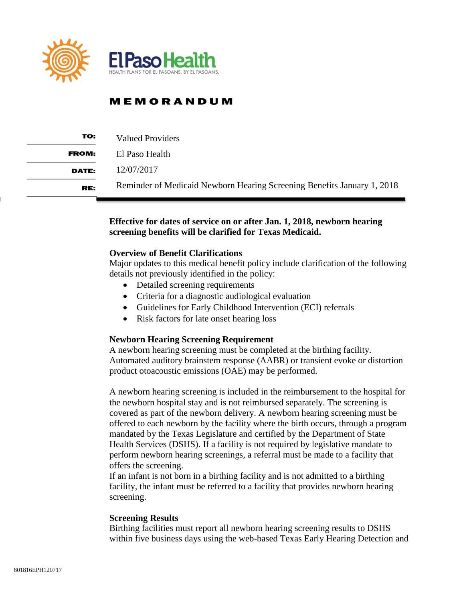

| TO:          | Valued Providers                                                        |
|--------------|-------------------------------------------------------------------------|
| <b>FROM:</b> | El Paso Health                                                          |
| <b>DATE:</b> | 12/07/2017                                                              |
| RE:          | Reminder of Medicaid Newborn Hearing Screening Benefits January 1, 2018 |

### **Effective for dates of service on or after Jan. 1, 2018, newborn hearing screening benefits will be clarified for Texas Medicaid.**

#### **Overview of Benefit Clarifications**

Major updates to this medical benefit policy include clarification of the following details not previously identified in the policy:

- Detailed screening requirements
- Criteria for a diagnostic audiological evaluation
- Guidelines for Early Childhood Intervention (ECI) referrals
- Risk factors for late onset hearing loss

#### **Newborn Hearing Screening Requirement**

A newborn hearing screening must be completed at the birthing facility. Automated auditory brainstem response (AABR) or transient evoke or distortion product otoacoustic emissions (OAE) may be performed.

A newborn hearing screening is included in the reimbursement to the hospital for the newborn hospital stay and is not reimbursed separately. The screening is covered as part of the newborn delivery. A newborn hearing screening must be offered to each newborn by the facility where the birth occurs, through a program mandated by the Texas Legislature and certified by the Department of State Health Services (DSHS). If a facility is not required by legislative mandate to perform newborn hearing screenings, a referral must be made to a facility that offers the screening.

If an infant is not born in a birthing facility and is not admitted to a birthing facility, the infant must be referred to a facility that provides newborn hearing screening.

#### **Screening Results**

Birthing facilities must report all newborn hearing screening results to DSHS within five business days using the web-based Texas Early Hearing Detection and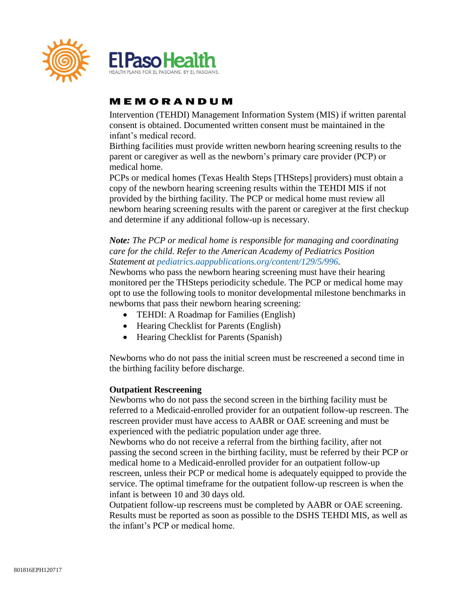

Intervention (TEHDI) Management Information System (MIS) if written parental consent is obtained. Documented written consent must be maintained in the infant's medical record.

Birthing facilities must provide written newborn hearing screening results to the parent or caregiver as well as the newborn's primary care provider (PCP) or medical home.

PCPs or medical homes (Texas Health Steps [THSteps] providers) must obtain a copy of the newborn hearing screening results within the TEHDI MIS if not provided by the birthing facility. The PCP or medical home must review all newborn hearing screening results with the parent or caregiver at the first checkup and determine if any additional follow-up is necessary.

## *Note: The PCP or medical home is responsible for managing and coordinating care for the child. Refer to the American Academy of Pediatrics Position Statement at pediatrics.aappublications.org/content/129/5/996.*

Newborns who pass the newborn hearing screening must have their hearing monitored per the THSteps periodicity schedule. The PCP or medical home may opt to use the following tools to monitor developmental milestone benchmarks in newborns that pass their newborn hearing screening:

- TEHDI: A Roadmap for Families (English)
- Hearing Checklist for Parents (English)
- Hearing Checklist for Parents (Spanish)

Newborns who do not pass the initial screen must be rescreened a second time in the birthing facility before discharge.

### **Outpatient Rescreening**

Newborns who do not pass the second screen in the birthing facility must be referred to a Medicaid-enrolled provider for an outpatient follow-up rescreen. The rescreen provider must have access to AABR or OAE screening and must be experienced with the pediatric population under age three.

Newborns who do not receive a referral from the birthing facility, after not passing the second screen in the birthing facility, must be referred by their PCP or medical home to a Medicaid-enrolled provider for an outpatient follow-up rescreen, unless their PCP or medical home is adequately equipped to provide the service. The optimal timeframe for the outpatient follow-up rescreen is when the infant is between 10 and 30 days old.

Outpatient follow-up rescreens must be completed by AABR or OAE screening. Results must be reported as soon as possible to the DSHS TEHDI MIS, as well as the infant's PCP or medical home.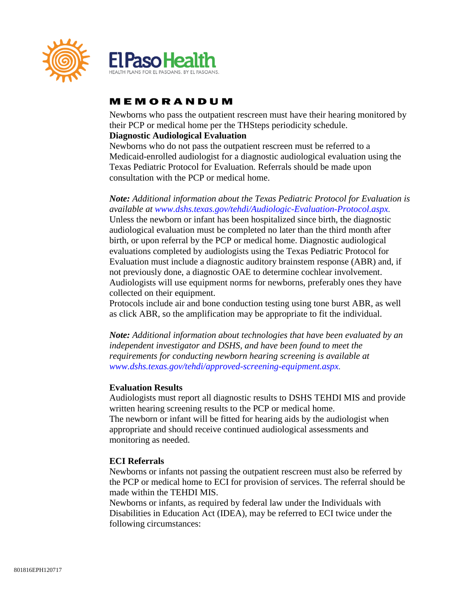

Newborns who pass the outpatient rescreen must have their hearing monitored by their PCP or medical home per the THSteps periodicity schedule.

## **Diagnostic Audiological Evaluation**

Newborns who do not pass the outpatient rescreen must be referred to a Medicaid-enrolled audiologist for a diagnostic audiological evaluation using the Texas Pediatric Protocol for Evaluation*.* Referrals should be made upon consultation with the PCP or medical home.

*Note: Additional information about the Texas Pediatric Protocol for Evaluation is available at www.dshs.texas.gov/tehdi/Audiologic-Evaluation-Protocol.aspx.*  Unless the newborn or infant has been hospitalized since birth, the diagnostic audiological evaluation must be completed no later than the third month after birth, or upon referral by the PCP or medical home. Diagnostic audiological evaluations completed by audiologists using the Texas Pediatric Protocol for Evaluation must include a diagnostic auditory brainstem response (ABR) and, if not previously done, a diagnostic OAE to determine cochlear involvement. Audiologists will use equipment norms for newborns, preferably ones they have collected on their equipment.

Protocols include air and bone conduction testing using tone burst ABR, as well as click ABR, so the amplification may be appropriate to fit the individual.

*Note: Additional information about technologies that have been evaluated by an independent investigator and DSHS, and have been found to meet the requirements for conducting newborn hearing screening is available at www.dshs.texas.gov/tehdi/approved-screening-equipment.aspx.* 

### **Evaluation Results**

Audiologists must report all diagnostic results to DSHS TEHDI MIS and provide written hearing screening results to the PCP or medical home. The newborn or infant will be fitted for hearing aids by the audiologist when appropriate and should receive continued audiological assessments and monitoring as needed.

#### **ECI Referrals**

Newborns or infants not passing the outpatient rescreen must also be referred by the PCP or medical home to ECI for provision of services. The referral should be made within the TEHDI MIS.

Newborns or infants, as required by federal law under the Individuals with Disabilities in Education Act (IDEA), may be referred to ECI twice under the following circumstances: